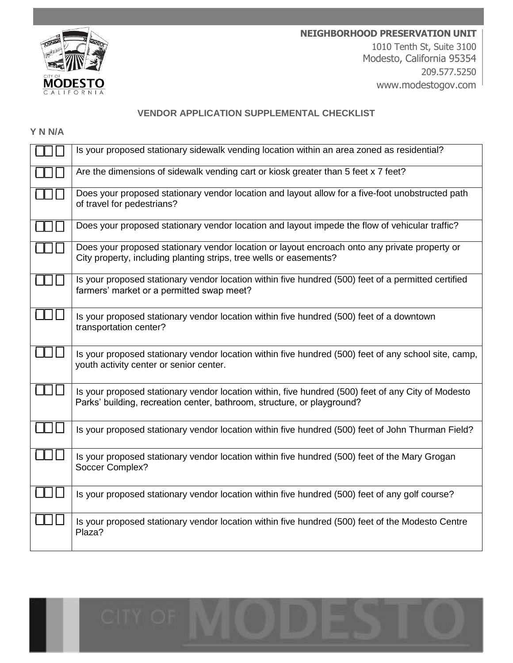

**NEIGHBORHOOD PRESERVATION UNIT**

1010 Tenth St, Suite 3100 Modesto, California 95354 209.577.5250 www.modestogov.com

## **VENDOR APPLICATION SUPPLEMENTAL CHECKLIST**

**Y N N/A**

| Is your proposed stationary sidewalk vending location within an area zoned as residential?                                                                                    |
|-------------------------------------------------------------------------------------------------------------------------------------------------------------------------------|
| Are the dimensions of sidewalk vending cart or kiosk greater than 5 feet x 7 feet?                                                                                            |
| Does your proposed stationary vendor location and layout allow for a five-foot unobstructed path<br>of travel for pedestrians?                                                |
| Does your proposed stationary vendor location and layout impede the flow of vehicular traffic?                                                                                |
| Does your proposed stationary vendor location or layout encroach onto any private property or<br>City property, including planting strips, tree wells or easements?           |
| Is your proposed stationary vendor location within five hundred (500) feet of a permitted certified<br>farmers' market or a permitted swap meet?                              |
| Is your proposed stationary vendor location within five hundred (500) feet of a downtown<br>transportation center?                                                            |
| Is your proposed stationary vendor location within five hundred (500) feet of any school site, camp,<br>youth activity center or senior center.                               |
| Is your proposed stationary vendor location within, five hundred (500) feet of any City of Modesto<br>Parks' building, recreation center, bathroom, structure, or playground? |
| Is your proposed stationary vendor location within five hundred (500) feet of John Thurman Field?                                                                             |
| Is your proposed stationary vendor location within five hundred (500) feet of the Mary Grogan<br>Soccer Complex?                                                              |
| Is your proposed stationary vendor location within five hundred (500) feet of any golf course?                                                                                |
| Is your proposed stationary vendor location within five hundred (500) feet of the Modesto Centre<br>Plaza?                                                                    |

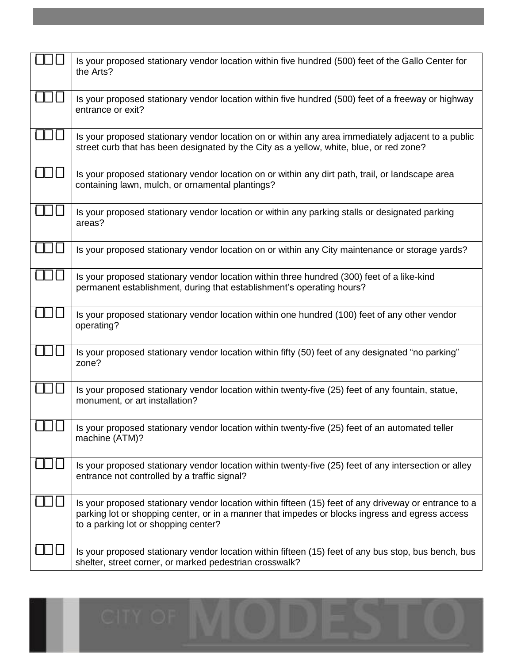|                | Is your proposed stationary vendor location within five hundred (500) feet of the Gallo Center for<br>the Arts?                                                                                                                                  |
|----------------|--------------------------------------------------------------------------------------------------------------------------------------------------------------------------------------------------------------------------------------------------|
|                | Is your proposed stationary vendor location within five hundred (500) feet of a freeway or highway<br>entrance or exit?                                                                                                                          |
|                | Is your proposed stationary vendor location on or within any area immediately adjacent to a public<br>street curb that has been designated by the City as a yellow, white, blue, or red zone?                                                    |
|                | Is your proposed stationary vendor location on or within any dirt path, trail, or landscape area<br>containing lawn, mulch, or ornamental plantings?                                                                                             |
| $\blacksquare$ | Is your proposed stationary vendor location or within any parking stalls or designated parking<br>areas?                                                                                                                                         |
| $\Box$<br>l 1  | Is your proposed stationary vendor location on or within any City maintenance or storage yards?                                                                                                                                                  |
| $\Box$         | Is your proposed stationary vendor location within three hundred (300) feet of a like-kind<br>permanent establishment, during that establishment's operating hours?                                                                              |
|                | Is your proposed stationary vendor location within one hundred (100) feet of any other vendor<br>operating?                                                                                                                                      |
|                | Is your proposed stationary vendor location within fifty (50) feet of any designated "no parking"<br>zone?                                                                                                                                       |
|                | Is your proposed stationary vendor location within twenty-five (25) feet of any fountain, statue,<br>monument, or art installation?                                                                                                              |
| $\Box$         | Is your proposed stationary vendor location within twenty-five (25) feet of an automated teller<br>machine (ATM)?                                                                                                                                |
|                | Is your proposed stationary vendor location within twenty-five (25) feet of any intersection or alley<br>entrance not controlled by a traffic signal?                                                                                            |
|                | Is your proposed stationary vendor location within fifteen (15) feet of any driveway or entrance to a<br>parking lot or shopping center, or in a manner that impedes or blocks ingress and egress access<br>to a parking lot or shopping center? |
|                | Is your proposed stationary vendor location within fifteen (15) feet of any bus stop, bus bench, bus<br>shelter, street corner, or marked pedestrian crosswalk?                                                                                  |